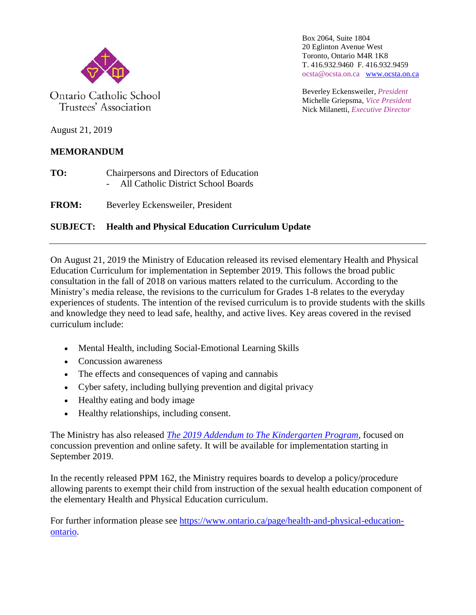

Ontario Catholic School Trustees' Association

Box 2064, Suite 1804 20 Eglinton Avenue West Toronto, Ontario M4R 1K8 T. 416.932.9460 F. 416.932.9459 ocsta@ocsta.on.ca [www.ocsta.on.ca](http://www.ocsta.on.ca/)

Beverley Eckensweiler, *President* Michelle Griepsma, *Vice President* Nick Milanetti, *Executive Director*

August 21, 2019

## **MEMORANDUM**

**TO:** Chairpersons and Directors of Education - All Catholic District School Boards

**FROM:** Beverley Eckensweiler, President

## **SUBJECT: Health and Physical Education Curriculum Update**

On August 21, 2019 the Ministry of Education released its revised elementary Health and Physical Education Curriculum for implementation in September 2019. This follows the broad public consultation in the fall of 2018 on various matters related to the curriculum. According to the Ministry's media release, the revisions to the curriculum for Grades 1-8 relates to the everyday experiences of students. The intention of the revised curriculum is to provide students with the skills and knowledge they need to lead safe, healthy, and active lives. Key areas covered in the revised curriculum include:

- Mental Health, including Social-Emotional Learning Skills
- Concussion awareness
- The effects and consequences of vaping and cannabis
- Cyber safety, including bullying prevention and digital privacy
- Healthy eating and body image
- Healthy relationships, including consent.

The Ministry has also released *[The 2019 Addendum to The Kindergarten Program,](http://www.edu.gov.on.ca/eng/curriculum/elementary/addendum-to-kindergarten-program.pdf)* focused on concussion prevention and online safety. It will be available for implementation starting in September 2019.

In the recently released PPM 162, the Ministry requires boards to develop a policy/procedure allowing parents to exempt their child from instruction of the sexual health education component of the elementary Health and Physical Education curriculum.

For further information please see [https://www.ontario.ca/page/health-and-physical-education](https://www.ontario.ca/page/health-and-physical-education-ontario)[ontario.](https://www.ontario.ca/page/health-and-physical-education-ontario)